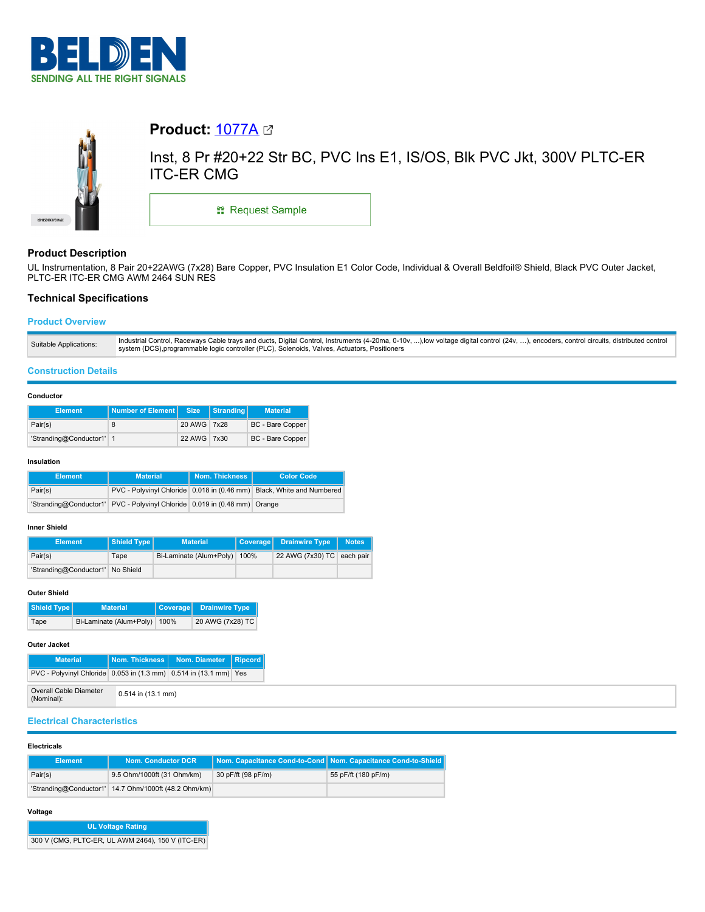



# **Product:** [1077A](https://catalog.belden.com/index.cfm?event=pd&p=PF_1077A&tab=downloads)

Inst, 8 Pr #20+22 Str BC, PVC Ins E1, IS/OS, Blk PVC Jkt, 300V PLTC-ER ITC-ER CMG

\*\* Request Sample

# **Product Description**

UL Instrumentation, 8 Pair 20+22AWG (7x28) Bare Copper, PVC Insulation E1 Color Code, Individual & Overall Beldfoil® Shield, Black PVC Outer Jacket, PLTC-ER ITC-ER CMG AWM 2464 SUN RES

# **Technical Specifications**

# **Product Overview**

| Suitable Applications: | Industrial Control, Raceways Cable trays and ducts, Digital Control, Instruments (4-20ma, 0-10v, ),low voltage digital control (24v, ), encoders, control circuits, distributed control |
|------------------------|-----------------------------------------------------------------------------------------------------------------------------------------------------------------------------------------|
|                        | system (DCS), programmable logic controller (PLC), Solenoids, Valves, Actuators, Positioners                                                                                            |

### **Construction Details**

### **Conductor**

| <b>Element</b>           | Number of Element Size |             | Stranding | <b>Material</b>         |
|--------------------------|------------------------|-------------|-----------|-------------------------|
| Pair(s)                  |                        | 20 AWG 7x28 |           | <b>BC</b> - Bare Copper |
| 'Stranding@Conductor1' 1 |                        | 22 AWG 7x30 |           | BC - Bare Copper        |

### **Insulation**

| <b>Element</b> | <b>Material</b>                                                           | Nom. Thickness | <b>Color Code</b>                                                     |
|----------------|---------------------------------------------------------------------------|----------------|-----------------------------------------------------------------------|
| Pair(s)        |                                                                           |                | PVC - Polyvinyl Chloride 0.018 in (0.46 mm) Black, White and Numbered |
|                | 'Stranding@Conductor1' PVC - Polyvinyl Chloride 0.019 in (0.48 mm) Orange |                |                                                                       |

## **Inner Shield**

| <b>Element</b>                   | Shield Type | <b>Material</b>         |      | Coverage Drainwire Type    | <b>Notes</b> |
|----------------------------------|-------------|-------------------------|------|----------------------------|--------------|
| Pair(s)                          | Tape        | Bi-Laminate (Alum+Poly) | 100% | 22 AWG (7x30) TC each pair |              |
| 'Stranding@Conductor1' No Shield |             |                         |      |                            |              |

### **Outer Shield**

| Shield Type | <b>Material</b>              | Coverage Drainwire Type |
|-------------|------------------------------|-------------------------|
| Tape        | Bi-Laminate (Alum+Poly) 100% | 20 AWG (7x28) TC        |

## **Outer Jacket**

| <b>Material</b>                                                   | <b>Nom. Thickness I</b> | Nom. Diameter | Ripcord |
|-------------------------------------------------------------------|-------------------------|---------------|---------|
| PVC - Polyvinyl Chloride 0.053 in (1.3 mm) 0.514 in (13.1 mm) Yes |                         |               |         |
| <b>Overall Cable Diameter</b><br>(Nominal):                       | $0.514$ in $(13.1$ mm)  |               |         |

# **Electrical Characteristics**

### **Electricals**

| <b>Element</b> | <b>Nom. Conductor DCR</b>                            |                    | Nom. Capacitance Cond-to-Cond Nom. Capacitance Cond-to-Shield |
|----------------|------------------------------------------------------|--------------------|---------------------------------------------------------------|
| Pair(s)        | 9.5 Ohm/1000ft (31 Ohm/km)                           | 30 pF/ft (98 pF/m) | 55 pF/ft (180 pF/m)                                           |
|                | "Stranding@Conductor1' 14.7 Ohm/1000ft (48.2 Ohm/km) |                    |                                                               |

### **Voltage**

| <b>UL Voltage Rating</b>                          |  |  |  |  |
|---------------------------------------------------|--|--|--|--|
| 300 V (CMG, PLTC-ER, UL AWM 2464), 150 V (ITC-ER) |  |  |  |  |